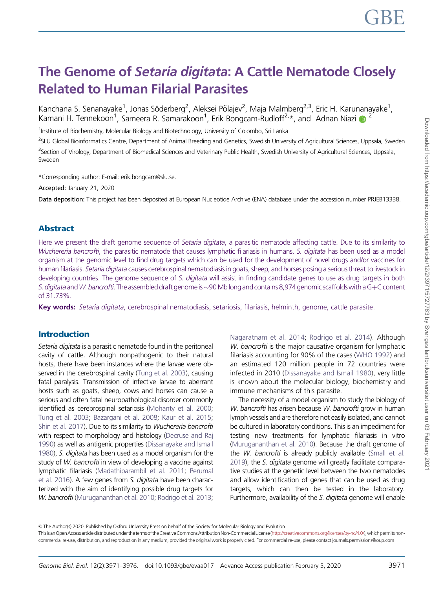# The Genome of Setaria digitata: A Cattle Nematode Closely Related to Human Filarial Parasites

Kanchana S. Senanayake<sup>1</sup>, Jonas Söderberg<sup>2</sup>, Aleksei Põlajev<sup>2</sup>, Maja Malmberg<sup>2,3</sup>, Eric H. Karunanayake<sup>1</sup>, Kamani H. Tennekoon<sup>1</sup>, Sameera R. Samarakoon<sup>1</sup>, Erik Bongcam-Rudloff<sup>2,\*</sup>, and Adnan Niazi D<sup>2</sup>

<sup>1</sup>Institute of Biochemistry, Molecular Biology and Biotechnology, University of Colombo, Sri Lanka

<sup>2</sup>SLU Global Bioinformatics Centre, Department of Animal Breeding and Genetics, Swedish University of Agricultural Sciences, Uppsala, Sweden <sup>3</sup>Section of Virology, Department of Biomedical Sciences and Veterinary Public Health, Swedish University of Agricultural Sciences, Uppsala, Sweden

\*Corresponding author: E-mail: erik.bongcam@slu.se.

Accepted: January 21, 2020

Data deposition: This project has been deposited at European Nucleotide Archive (ENA) database under the accession number PRJEB13338.

## Abstract

Here we present the draft genome sequence of Setaria digitata, a parasitic nematode affecting cattle. Due to its similarity to Wuchereria bancrofti, the parasitic nematode that causes lymphatic filariasis in humans, S. digitata has been used as a model organism at the genomic level to find drug targets which can be used for the development of novel drugs and/or vaccines for human filariasis. Setaria digitata causes cerebrospinal nematodiasis in goats, sheep, and horses posing a serious threat to livestock in developing countries. The genome sequence of S. digitata will assist in finding candidate genes to use as drug targets in both *S. digitata* and *W. bancrofti.* The assembled draft genome is ~90 Mb long and contains 8,974 genomic scaffolds with a G+C content of 31.73%.

Key words: Setaria digitata, cerebrospinal nematodiasis, setariosis, filariasis, helminth, genome, cattle parasite.

#### Introduction

Setaria digitata is a parasitic nematode found in the peritoneal cavity of cattle. Although nonpathogenic to their natural hosts, there have been instances where the larvae were ob-served in the cerebrospinal cavity [\(Tung et al. 2003](#page-5-0)), causing fatal paralysis. Transmission of infective larvae to aberrant hosts such as goats, sheep, cows and horses can cause a serious and often fatal neuropathological disorder commonly identified as cerebrospinal setariosis ([Mohanty et al. 2000;](#page-5-0) [Tung et al. 2003;](#page-5-0) [Bazargani et al. 2008;](#page-5-0) [Kaur et al. 2015;](#page-5-0) [Shin et al. 2017\)](#page-5-0). Due to its similarity to Wuchereria bancrofti with respect to morphology and histology [\(Decruse and Raj](#page-5-0) [1990](#page-5-0)) as well as antigenic properties ([Dissanayake and Ismail](#page-5-0) [1980](#page-5-0)), S. digitata has been used as a model organism for the study of W. bancrofti in view of developing a vaccine against lymphatic filariasis [\(Madathiparambil et al. 2011](#page-5-0); [Perumal](#page-5-0) [et al. 2016\)](#page-5-0). A few genes from S. digitata have been characterized with the aim of identifying possible drug targets for W. bancrofti [\(Murugananthan et al. 2010;](#page-5-0) [Rodrigo et al. 2013;](#page-5-0) [Nagaratnam et al. 2014;](#page-5-0) [Rodrigo et al. 2014\)](#page-5-0). Although W. bancrofti is the major causative organism for lymphatic filariasis accounting for 90% of the cases [\(WHO 1992\)](#page-5-0) and an estimated 120 million people in 72 countries were infected in 2010 [\(Dissanayake and Ismail 1980\)](#page-5-0), very little is known about the molecular biology, biochemistry and immune mechanisms of this parasite.

The necessity of a model organism to study the biology of W. bancrofti has arisen because W. bancrofti grow in human lymph vessels and are therefore not easily isolated, and cannot be cultured in laboratory conditions. This is an impediment for testing new treatments for lymphatic filariasis in vitro [\(Murugananthan et al. 2010](#page-5-0)). Because the draft genome of the *W. bancrofti* is already publicly available [\(Small et al.](#page-5-0) [2019\)](#page-5-0), the S. digitata genome will greatly facilitate comparative studies at the genetic level between the two nematodes and allow identification of genes that can be used as drug targets, which can then be tested in the laboratory. Furthermore, availability of the S. digitata genome will enable

© The Author(s) 2020. Published by Oxford University Press on behalf of the Society for Molecular Biology and Evolution.

Thisis an Open Accessarticle distributed under the terms of the Creative Commons Attribution Non-Commercial License [\(http://creativecommons.org/licenses/by-nc/4.0/\)](http://creativecommons.org/licenses/by-nc/4.0/), which permits noncommercial re-use, distribution, and reproduction in any medium, provided the original work is properly cited. For commercial re-use, please contact journals.permissions@oup.com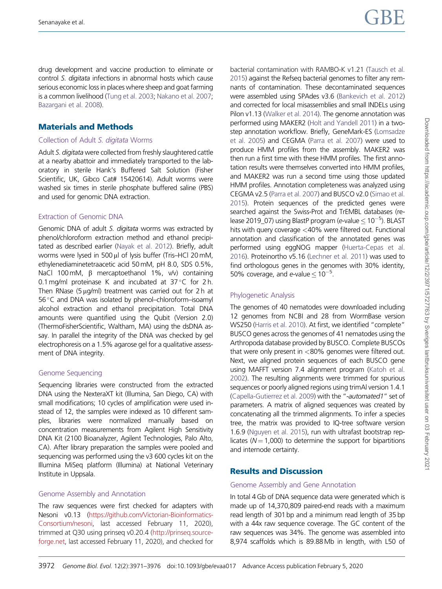drug development and vaccine production to eliminate or control S. digitata infections in abnormal hosts which cause serious economic loss in places where sheep and goat farming is a common livelihood [\(Tung et al. 2003;](#page-5-0) [Nakano et al. 2007;](#page-5-0) [Bazargani et al. 2008\)](#page-5-0).

# Materials and Methods

#### Collection of Adult S. digitata Worms

Adult S. digitata were collected from freshly slaughtered cattle at a nearby abattoir and immediately transported to the laboratory in sterile Hank's Buffered Salt Solution (Fisher Scientific, UK, Gibco Cat# 15420614). Adult worms were washed six times in sterile phosphate buffered saline (PBS) and used for genomic DNA extraction.

#### Extraction of Genomic DNA

Genomic DNA of adult S. digitata worms was extracted by phenol/chloroform extraction method and ethanol precipitated as described earlier [\(Nayak et al. 2012](#page-5-0)). Briefly, adult worms were lysed in 500  $\mu$ l of lysis buffer (Tris–HCl 20 mM, ethylenediaminetetraacetic acid 50 mM, pH 8.0, SDS 0.5%, NaCl 100 mM,  $\beta$  mercaptoethanol 1%, v/v) containing 0.1 mg/ml proteinase K and incubated at  $37^{\circ}$ C for 2 h. Then RNase (5  $\mu$ g/ml) treatment was carried out for 2 h at 56 °C and DNA was isolated by phenol–chloroform–isoamyl alcohol extraction and ethanol precipitation. Total DNA amounts were quantified using the Qubit (Version 2.0) (ThermoFisherScientific, Waltham, MA) using the dsDNA assay. In parallel the integrity of the DNA was checked by gel electrophoresis on a 1.5% agarose gel for a qualitative assessment of DNA integrity.

#### Genome Sequencing

Sequencing libraries were constructed from the extracted DNA using the NexteraXT kit (Illumina, San Diego, CA) with small modifications; 10 cycles of amplification were used instead of 12, the samples were indexed as 10 different samples, libraries were normalized manually based on concentration measurements from Agilent High Sensitivity DNA Kit (2100 Bioanalyzer, Agilent Technologies, Palo Alto, CA). After library preparation the samples were pooled and sequencing was performed using the v3 600 cycles kit on the Illumina MiSeq platform (Illumina) at National Veterinary Institute in Uppsala.

#### Genome Assembly and Annotation

The raw sequences were first checked for adapters with Nesoni v0.13 [\(https://github.com/Victorian-Bioinformatics-](https://github.com/Victorian-Bioinformatics-Consortium/nesoni)[Consortium/nesoni](https://github.com/Victorian-Bioinformatics-Consortium/nesoni), last accessed February 11, 2020), trimmed at Q30 using prinseq v0.20.4 ([http://prinseq.source](http://prinseq.sourceforge.net)[forge.net](http://prinseq.sourceforge.net), last accessed February 11, 2020), and checked for bacterial contamination with RAMBO-K v1.21 [\(Tausch et al.](#page-5-0) [2015\)](#page-5-0) against the Refseq bacterial genomes to filter any remnants of contamination. These decontaminated sequences were assembled using SPAdes v3.6 ([Bankevich et al. 2012](#page-5-0)) and corrected for local misassemblies and small INDELs using Pilon v1.13 [\(Walker et al. 2014](#page-5-0)). The genome annotation was performed using MAKER2 [\(Holt and Yandell 2011](#page-5-0)) in a twostep annotation workflow. Briefly, GeneMark-ES [\(Lomsadze](#page-5-0) [et al. 2005\)](#page-5-0) and CEGMA [\(Parra et al. 2007](#page-5-0)) were used to produce HMM profiles from the assembly. MAKER2 was then run a first time with these HMM profiles. The first annotation results were themselves converted into HMM profiles, and MAKER2 was run a second time using those updated HMM profiles. Annotation completeness was analyzed using CEGMA v2.5 [\(Parra et al. 2007](#page-5-0)) and BUSCO v2.0 [\(Simao et al.](#page-5-0) [2015\)](#page-5-0). Protein sequences of the predicted genes were searched against the Swiss-Prot and TrEMBL databases (release 2019\_07) using BlastP program (e-value  $\leq 10^{-5}$ ). BLAST hits with query coverage <40% were filtered out. Functional annotation and classification of the annotated genes was performed using eggNOG mapper ([Huerta-Cepas et al.](#page-5-0) [2016\)](#page-5-0). Proteinortho v5.16 [\(Lechner et al. 2011\)](#page-5-0) was used to find orthologous genes in the genomes with 30% identity, 50% coverage, and e-value  $\leq 10^{-5}$ .

#### Phylogenetic Analysis

The genomes of 40 nematodes were downloaded including 12 genomes from NCBI and 28 from WormBase version WS250 ([Harris et al. 2010](#page-5-0)). At first, we identified "complete" BUSCO genes across the genomes of 41 nematodes using the Arthropoda database provided by BUSCO. Complete BUSCOs that were only present in <80% genomes were filtered out. Next, we aligned protein sequences of each BUSCO gene using MAFFT version 7.4 alignment program ([Katoh et al.](#page-5-0) [2002\)](#page-5-0). The resulting alignments were trimmed for spurious sequences or poorly aligned regions using trimAl version 1.4.1 [\(Capella-Gutierrez et al. 2009](#page-5-0)) with the "-automated1" set of parameters. A matrix of aligned sequences was created by concatenating all the trimmed alignments. To infer a species tree, the matrix was provided to IQ-tree software version 1.6.9 [\(Nguyen et al. 2015](#page-5-0)), run with ultrafast bootstrap replicates ( $N = 1,000$ ) to determine the support for bipartitions and internode certainty.

# Results and Discussion

#### Genome Assembly and Gene Annotation

In total 4 Gb of DNA sequence data were generated which is made up of 14,370,809 paired-end reads with a maximum read length of 301 bp and a minimum read length of 35 bp with a 44x raw sequence coverage. The GC content of the raw sequences was 34%. The genome was assembled into 8,974 scaffolds which is 89.88 Mb in length, with L50 of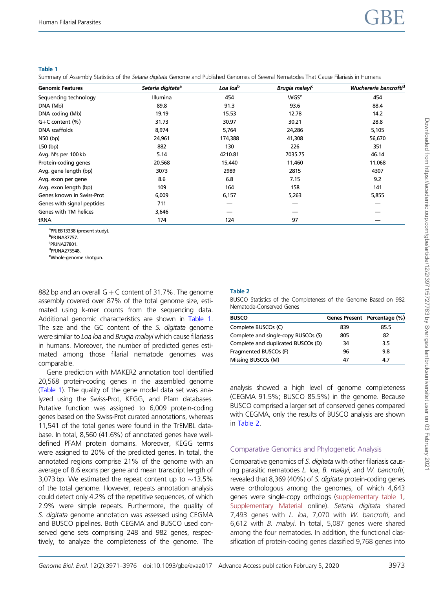#### Table 1

Summary of Assembly Statistics of the Setaria digitata Genome and Published Genomes of Several Nematodes That Cause Filariasis in Humans

| <b>Genomic Features</b>    | Setaria digitata <sup>a</sup> | Loa loa <sup>b</sup> | Brugia malayi <sup>c</sup> | Wuchereria bancrofti <sup>d</sup> |
|----------------------------|-------------------------------|----------------------|----------------------------|-----------------------------------|
| Sequencing technology      | <b>Illumina</b>               | 454                  | <b>WGS<sup>e</sup></b>     | 454                               |
| DNA (Mb)                   | 89.8                          | 91.3                 | 93.6                       | 88.4                              |
| DNA coding (Mb)            | 19.19                         | 15.53                | 12.78                      | 14.2                              |
| $G+C$ content $(\%)$       | 31.73                         | 30.97                | 30.21                      | 28.8                              |
| <b>DNA</b> scaffolds       | 8,974                         | 5,764                | 24,286                     | 5,105                             |
| N50 (bp)                   | 24,961                        | 174,388              | 41,308                     | 56,670                            |
| $L50$ (bp)                 | 882                           | 130                  | 226                        | 351                               |
| Avg. N's per 100 kb        | 5.14                          | 4210.81              | 7035.75                    | 46.14                             |
| Protein-coding genes       | 20,568                        | 15,440               | 11,460                     | 11,068                            |
| Avg. gene length (bp)      | 3073                          | 2989                 | 2815                       | 4307                              |
| Avg. exon per gene         | 8.6                           | 6.8                  | 7.15                       | 9.2                               |
| Avg. exon length (bp)      | 109                           | 164                  | 158                        | 141                               |
| Genes known in Swiss-Prot  | 6,009                         | 6,157                | 5,263                      | 5,855                             |
| Genes with signal peptides | 711                           |                      |                            |                                   |
| Genes with TM helices      | 3,646                         |                      |                            |                                   |
| tRNA                       | 174                           | 124                  | 97                         |                                   |

a PRJEB13338 (present study). b PRJNA37757. c PRJNA27801. d PRJNA275548.

eWhole-genome shotgun.

882 bp and an overall  $G + C$  content of 31.7%. The genome assembly covered over 87% of the total genome size, estimated using k-mer counts from the sequencing data. Additional genomic characteristics are shown in Table 1. The size and the GC content of the S. digitata genome were similar to Loa loa and Brugia malayi which cause filariasis in humans. Moreover, the number of predicted genes estimated among those filarial nematode genomes was comparable.

Gene prediction with MAKER2 annotation tool identified 20,568 protein-coding genes in the assembled genome (Table 1). The quality of the gene model data set was analyzed using the Swiss-Prot, KEGG, and Pfam databases. Putative function was assigned to 6,009 protein-coding genes based on the Swiss-Prot curated annotations, whereas 11,541 of the total genes were found in the TrEMBL database. In total, 8,560 (41.6%) of annotated genes have welldefined PFAM protein domains. Moreover, KEGG terms were assigned to 20% of the predicted genes. In total, the annotated regions comprise 21% of the genome with an average of 8.6 exons per gene and mean transcript length of 3,073 bp. We estimated the repeat content up to  $\sim$ 13.5% of the total genome. However, repeats annotation analysis could detect only 4.2% of the repetitive sequences, of which 2.9% were simple repeats. Furthermore, the quality of S. digitata genome annotation was assessed using CEGMA and BUSCO pipelines. Both CEGMA and BUSCO used conserved gene sets comprising 248 and 982 genes, respectively, to analyze the completeness of the genome. The

## Table 2

BUSCO Statistics of the Completeness of the Genome Based on 982 Nematode-Conserved Genes

| <b>BUSCO</b>                        |     | Genes Present Percentage (%) |
|-------------------------------------|-----|------------------------------|
| Complete BUSCOs (C)                 | 839 | 85.5                         |
| Complete and single-copy BUSCOs (S) | 805 | 82                           |
| Complete and duplicated BUSCOs (D)  | 34  | 3.5                          |
| Fragmented BUSCOs (F)               | 96  | 9.8                          |
| Missing BUSCOs (M)                  | 47  | 47                           |

analysis showed a high level of genome completeness (CEGMA 91.5%; BUSCO 85.5%) in the genome. Because BUSCO comprised a larger set of conserved genes compared with CEGMA, only the results of BUSCO analysis are shown in Table 2.

# Comparative Genomics and Phylogenetic Analysis

Comparative genomics of S. digitata with other filariasis causing parasitic nematodes L. loa, B. malayi, and W. bancrofti, revealed that 8,369 (40%) of S. digitata protein-coding genes were orthologous among the genomes, of which 4,643 genes were single-copy orthologs [\(supplementary table 1](https://academic.oup.com/gbe/article-lookup/doi/10.1093/gbe/evaa017#supplementary-data), [Supplementary Material](https://academic.oup.com/gbe/article-lookup/doi/10.1093/gbe/evaa017#supplementary-data) online). Setaria digitata shared 7,493 genes with L. loa, 7,070 with W. bancrofti, and 6,612 with B. malayi. In total, 5,087 genes were shared among the four nematodes. In addition, the functional classification of protein-coding genes classified 9,768 genes into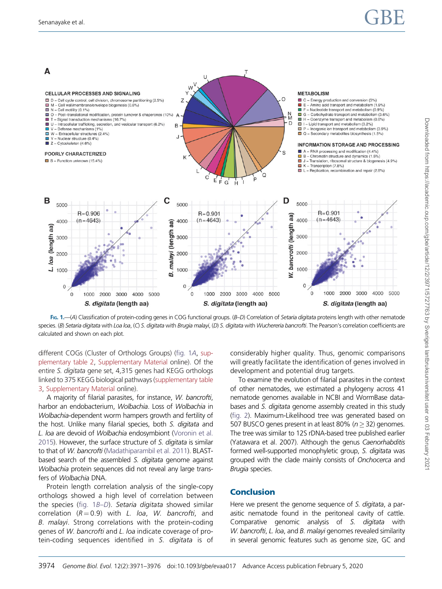

FIG. 1.—(A) Classification of protein-coding genes in COG functional groups. (B-D) Correlation of Setaria digitata proteins length with other nematode species. (B) Setaria digitata with Loa loa, (C) S. digitata with Brugia malayi, (D) S. digitata with Wuchereria bancrofti. The Pearson's correlation coefficients are calculated and shown on each plot.

different COGs (Cluster of Orthologs Groups) (fig. 1A, [sup](https://academic.oup.com/gbe/article-lookup/doi/10.1093/gbe/evaa017#supplementary-data)[plementary table 2](https://academic.oup.com/gbe/article-lookup/doi/10.1093/gbe/evaa017#supplementary-data), [Supplementary Material](https://academic.oup.com/gbe/article-lookup/doi/10.1093/gbe/evaa017#supplementary-data) online). Of the entire S. digitata gene set, 4,315 genes had KEGG orthologs linked to 375 KEGG biological pathways [\(supplementary table](https://academic.oup.com/gbe/article-lookup/doi/10.1093/gbe/evaa017#supplementary-data) [3,](https://academic.oup.com/gbe/article-lookup/doi/10.1093/gbe/evaa017#supplementary-data) [Supplementary Material](https://academic.oup.com/gbe/article-lookup/doi/10.1093/gbe/evaa017#supplementary-data) online).

A majority of filarial parasites, for instance, W. bancrofti, harbor an endobacterium, Wolbachia. Loss of Wolbachia in Wolbachia-dependent worm hampers growth and fertility of the host. Unlike many filarial species, both S. digitata and L. loa are devoid of Wolbachia endosymbiont [\(Voronin et al.](#page-5-0) [2015](#page-5-0)). However, the surface structure of S. digitata is similar to that of W. bancrofti [\(Madathiparambil et al. 2011\)](#page-5-0). BLASTbased search of the assembled S. digitata genome against Wolbachia protein sequences did not reveal any large transfers of Wolbachia DNA.

Protein length correlation analysis of the single-copy orthologs showed a high level of correlation between the species (fig. 1B–D). Setaria digitata showed similar correlation  $(R = 0.9)$  with L. loa, W. bancrofti, and B. malayi. Strong correlations with the protein-coding genes of W. bancrofti and L. loa indicate coverage of protein-coding sequences identified in S. digitata is of considerably higher quality. Thus, genomic comparisons will greatly facilitate the identification of genes involved in development and potential drug targets.

To examine the evolution of filarial parasites in the context of other nematodes, we estimated a phylogeny across 41 nematode genomes available in NCBI and WormBase databases and S. digitata genome assembly created in this study [\(fig. 2](#page-4-0)). Maximum-Likelihood tree was generated based on 507 BUSCO genes present in at least 80% ( $n > 32$ ) genomes. The tree was similar to 12S rDNA-based tree published earlier (Yatawara et al. 2007). Although the genus Caenorhabditis formed well-supported monophyletic group, S. digitata was grouped with the clade mainly consists of Onchocerca and Brugia species.

# Conclusion

Here we present the genome sequence of S. digitata, a parasitic nematode found in the peritoneal cavity of cattle. Comparative genomic analysis of S. digitata with W. bancrofti, L. loa, and B. malayi genomes revealed similarity in several genomic features such as genome size, GC and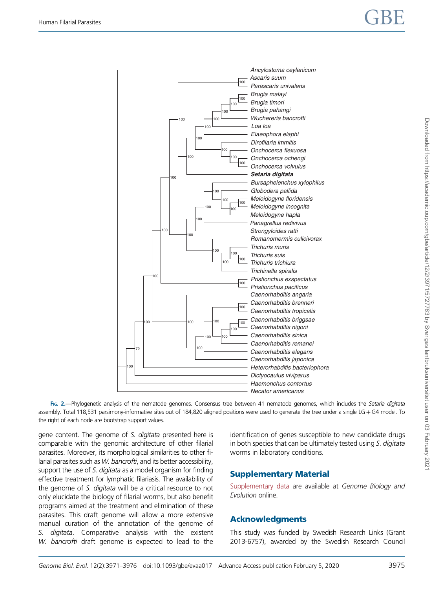<span id="page-4-0"></span>

FIG. 2.-Phylogenetic analysis of the nematode genomes. Consensus tree between 41 nematode genomes, which includes the Setaria digitata assembly. Total 118,531 parsimony-informative sites out of 184,820 aligned positions were used to generate the tree under a single LG + G4 model. To the right of each node are bootstrap support values.

gene content. The genome of S. digitata presented here is comparable with the genomic architecture of other filarial parasites. Moreover, its morphological similarities to other filarial parasites such as W. bancrofti, and its better accessibility, support the use of S. digitata as a model organism for finding effective treatment for lymphatic filariasis. The availability of the genome of S. digitata will be a critical resource to not only elucidate the biology of filarial worms, but also benefit programs aimed at the treatment and elimination of these parasites. This draft genome will allow a more extensive manual curation of the annotation of the genome of digitata. Comparative analysis with the existent W. bancrofti draft genome is expected to lead to the identification of genes susceptible to new candidate drugs in both species that can be ultimately tested using S. digitata worms in laboratory conditions.

# Supplementary Material

[Supplementary data](https://academic.oup.com/gbe/article-lookup/doi/10.1093/gbe/evaa017#supplementary-data) are available at Genome Biology and Evolution online.

# Acknowledgments

This study was funded by Swedish Research Links (Grant 2013-6757), awarded by the Swedish Research Council